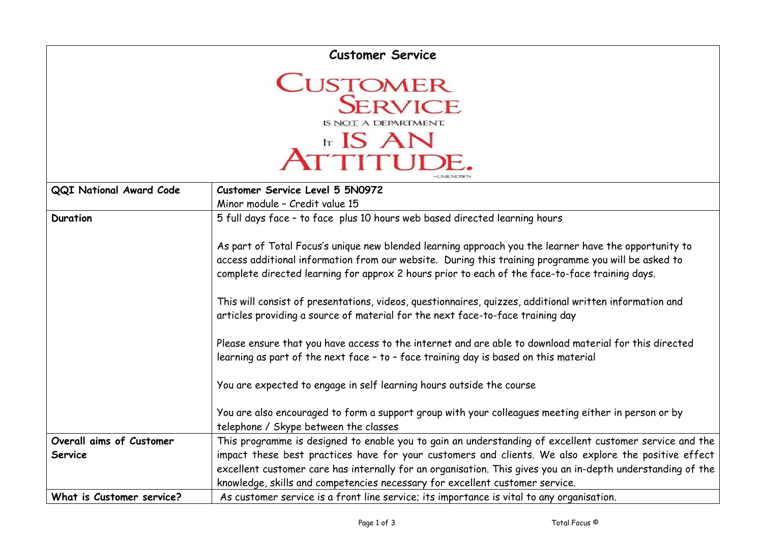| <b>Customer Service</b>                                                                       |                                                                                                                                                                                                                                                                                                                                                                                                                                                                                                                                                                                                                                                                                                                                                                                                                                                                     |  |  |
|-----------------------------------------------------------------------------------------------|---------------------------------------------------------------------------------------------------------------------------------------------------------------------------------------------------------------------------------------------------------------------------------------------------------------------------------------------------------------------------------------------------------------------------------------------------------------------------------------------------------------------------------------------------------------------------------------------------------------------------------------------------------------------------------------------------------------------------------------------------------------------------------------------------------------------------------------------------------------------|--|--|
| <b>CUSTOMER</b><br><b>SERVICE</b><br>IS NOT A DEPARTMENT.<br><b>Ir IS AN</b><br><b>TITUDE</b> |                                                                                                                                                                                                                                                                                                                                                                                                                                                                                                                                                                                                                                                                                                                                                                                                                                                                     |  |  |
| <b>QQI National Award Code</b>                                                                | Customer Service Level 5 5N0972                                                                                                                                                                                                                                                                                                                                                                                                                                                                                                                                                                                                                                                                                                                                                                                                                                     |  |  |
|                                                                                               | Minor module - Credit value 15                                                                                                                                                                                                                                                                                                                                                                                                                                                                                                                                                                                                                                                                                                                                                                                                                                      |  |  |
| <b>Duration</b>                                                                               | 5 full days face - to face plus 10 hours web based directed learning hours<br>As part of Total Focus's unique new blended learning approach you the learner have the opportunity to<br>access additional information from our website. During this training programme you will be asked to<br>complete directed learning for approx 2 hours prior to each of the face-to-face training days.<br>This will consist of presentations, videos, questionnaires, quizzes, additional written information and<br>articles providing a source of material for the next face-to-face training day<br>Please ensure that you have access to the internet and are able to download material for this directed<br>learning as part of the next face - to - face training day is based on this material<br>You are expected to engage in self learning hours outside the course |  |  |
|                                                                                               | You are also encouraged to form a support group with your colleagues meeting either in person or by                                                                                                                                                                                                                                                                                                                                                                                                                                                                                                                                                                                                                                                                                                                                                                 |  |  |
|                                                                                               | telephone / Skype between the classes                                                                                                                                                                                                                                                                                                                                                                                                                                                                                                                                                                                                                                                                                                                                                                                                                               |  |  |
| Overall aims of Customer                                                                      | This programme is designed to enable you to gain an understanding of excellent customer service and the                                                                                                                                                                                                                                                                                                                                                                                                                                                                                                                                                                                                                                                                                                                                                             |  |  |
| Service                                                                                       | impact these best practices have for your customers and clients. We also explore the positive effect                                                                                                                                                                                                                                                                                                                                                                                                                                                                                                                                                                                                                                                                                                                                                                |  |  |
|                                                                                               | excellent customer care has internally for an organisation. This gives you an in-depth understanding of the                                                                                                                                                                                                                                                                                                                                                                                                                                                                                                                                                                                                                                                                                                                                                         |  |  |
|                                                                                               | knowledge, skills and competencies necessary for excellent customer service.                                                                                                                                                                                                                                                                                                                                                                                                                                                                                                                                                                                                                                                                                                                                                                                        |  |  |
| What is Customer service?                                                                     | As customer service is a front line service; its importance is vital to any organisation.                                                                                                                                                                                                                                                                                                                                                                                                                                                                                                                                                                                                                                                                                                                                                                           |  |  |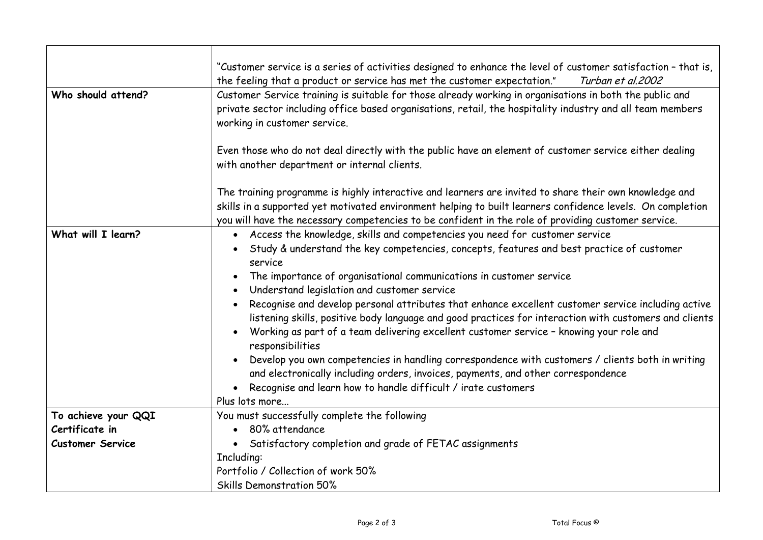|                         | "Customer service is a series of activities designed to enhance the level of customer satisfaction - that is,                                                                                                                                                                                                                                                                                                                                                                                                                                                                                                                                                                                                                                                                                                                                                                                                          |
|-------------------------|------------------------------------------------------------------------------------------------------------------------------------------------------------------------------------------------------------------------------------------------------------------------------------------------------------------------------------------------------------------------------------------------------------------------------------------------------------------------------------------------------------------------------------------------------------------------------------------------------------------------------------------------------------------------------------------------------------------------------------------------------------------------------------------------------------------------------------------------------------------------------------------------------------------------|
|                         | the feeling that a product or service has met the customer expectation."<br>Turban et al. 2002                                                                                                                                                                                                                                                                                                                                                                                                                                                                                                                                                                                                                                                                                                                                                                                                                         |
| Who should attend?      | Customer Service training is suitable for those already working in organisations in both the public and<br>private sector including office based organisations, retail, the hospitality industry and all team members<br>working in customer service.                                                                                                                                                                                                                                                                                                                                                                                                                                                                                                                                                                                                                                                                  |
|                         | Even those who do not deal directly with the public have an element of customer service either dealing<br>with another department or internal clients.                                                                                                                                                                                                                                                                                                                                                                                                                                                                                                                                                                                                                                                                                                                                                                 |
|                         | The training programme is highly interactive and learners are invited to share their own knowledge and<br>skills in a supported yet motivated environment helping to built learners confidence levels. On completion<br>you will have the necessary competencies to be confident in the role of providing customer service.                                                                                                                                                                                                                                                                                                                                                                                                                                                                                                                                                                                            |
| What will I learn?      | • Access the knowledge, skills and competencies you need for customer service<br>Study & understand the key competencies, concepts, features and best practice of customer<br>service<br>The importance of organisational communications in customer service<br>Understand legislation and customer service<br>Recognise and develop personal attributes that enhance excellent customer service including active<br>listening skills, positive body language and good practices for interaction with customers and clients<br>Working as part of a team delivering excellent customer service - knowing your role and<br>responsibilities<br>Develop you own competencies in handling correspondence with customers / clients both in writing<br>and electronically including orders, invoices, payments, and other correspondence<br>Recognise and learn how to handle difficult / irate customers<br>Plus lots more |
| To achieve your QQI     | You must successfully complete the following                                                                                                                                                                                                                                                                                                                                                                                                                                                                                                                                                                                                                                                                                                                                                                                                                                                                           |
| Certificate in          | 80% attendance                                                                                                                                                                                                                                                                                                                                                                                                                                                                                                                                                                                                                                                                                                                                                                                                                                                                                                         |
| <b>Customer Service</b> | Satisfactory completion and grade of FETAC assignments                                                                                                                                                                                                                                                                                                                                                                                                                                                                                                                                                                                                                                                                                                                                                                                                                                                                 |
|                         | Including:                                                                                                                                                                                                                                                                                                                                                                                                                                                                                                                                                                                                                                                                                                                                                                                                                                                                                                             |
|                         | Portfolio / Collection of work 50%                                                                                                                                                                                                                                                                                                                                                                                                                                                                                                                                                                                                                                                                                                                                                                                                                                                                                     |
|                         | <b>Skills Demonstration 50%</b>                                                                                                                                                                                                                                                                                                                                                                                                                                                                                                                                                                                                                                                                                                                                                                                                                                                                                        |